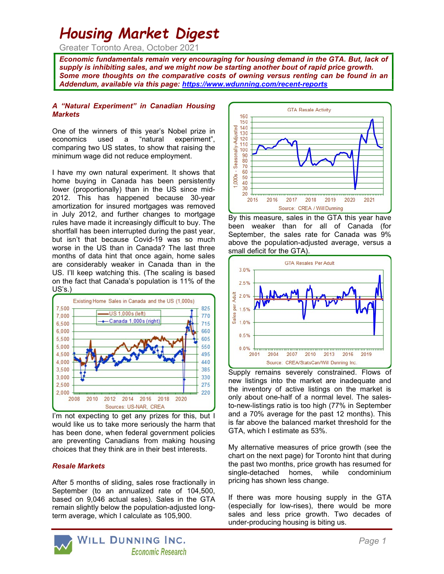# Housing Market Digest

Greater Toronto Area, October 2021

Economic fundamentals remain very encouraging for housing demand in the GTA. But, lack of supply is inhibiting sales, and we might now be starting another bout of rapid price growth. Some more thoughts on the comparative costs of owning versus renting can be found in an Addendum, available via this page: https://www.wdunning.com/recent-reports

#### A "Natural Experiment" in Canadian Housing **Markets**

One of the winners of this year's Nobel prize in economics used a "natural experiment", comparing two US states, to show that raising the minimum wage did not reduce employment.

I have my own natural experiment. It shows that home buying in Canada has been persistently lower (proportionally) than in the US since mid-2012. This has happened because 30-year amortization for insured mortgages was removed in July 2012, and further changes to mortgage rules have made it increasingly difficult to buy. The shortfall has been interrupted during the past year, but isn't that because Covid-19 was so much worse in the US than in Canada? The last three months of data hint that once again, home sales are considerably weaker in Canada than in the US. I'll keep watching this. (The scaling is based on the fact that Canada's population is 11% of the US's.)



I'm not expecting to get any prizes for this, but I would like us to take more seriously the harm that has been done, when federal government policies are preventing Canadians from making housing choices that they think are in their best interests.

### Resale Markets

After 5 months of sliding, sales rose fractionally in September (to an annualized rate of 104,500, based on 9,046 actual sales). Sales in the GTA remain slightly below the population-adjusted longterm average, which I calculate as 105,900.



By this measure, sales in the GTA this year have been weaker than for all of Canada (for September, the sales rate for Canada was 9% above the population-adjusted average, versus a small deficit for the GTA).



Supply remains severely constrained. Flows of new listings into the market are inadequate and the inventory of active listings on the market is only about one-half of a normal level. The salesto-new-listings ratio is too high (77% in September and a 70% average for the past 12 months). This is far above the balanced market threshold for the GTA, which I estimate as 53%.

My alternative measures of price growth (see the chart on the next page) for Toronto hint that during the past two months, price growth has resumed for single-detached homes, while condominium pricing has shown less change.

If there was more housing supply in the GTA (especially for low-rises), there would be more sales and less price growth. Two decades of under-producing housing is biting us.